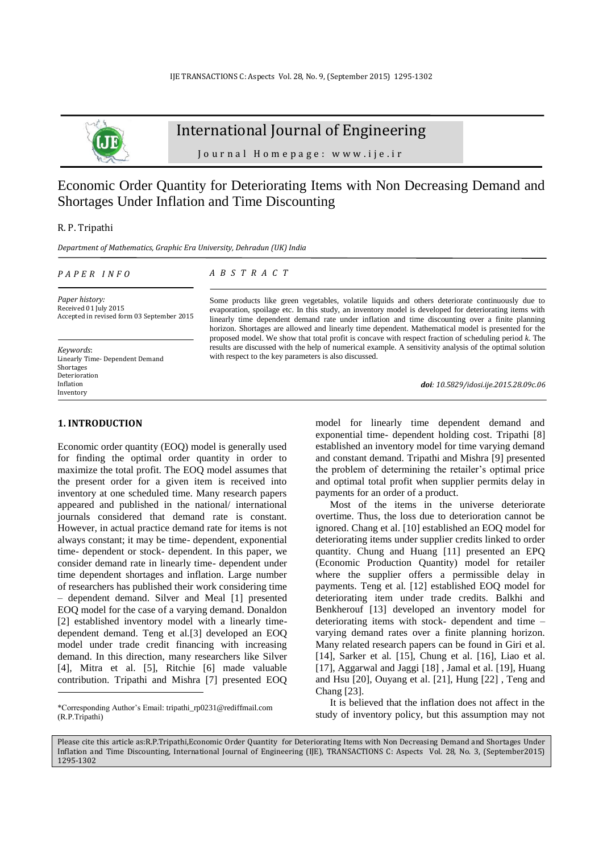

# International Journal of Engineering

J o u r n a l H o m e p a g e : w w w . i j e . i r

# Economic Order Quantity for Deteriorating Items with Non Decreasing Demand and Shortages Under Inflation and Time Discounting

R. P. Tripathi

*Department of Mathematics, Graphic Era University, Dehradun (UK) India*

### *P A P E R I N F O*

*A B S T R A C T*

*Paper history:* Received 01 July 2015 Accepted in revised form 03 September 2015

*Keywords*: Linearly Time- Dependent Demand Shortages Deterioration Inflation Inventory

Some products like green vegetables, volatile liquids and others deteriorate continuously due to evaporation, spoilage etc. In this study, an inventory model is developed for deteriorating items with linearly time dependent demand rate under inflation and time discounting over a finite planning horizon. Shortages are allowed and linearly time dependent. Mathematical model is presented for the proposed model. We show that total profit is concave with respect fraction of scheduling period *k*. The results are discussed with the help of numerical example. A sensitivity analysis of the optimal solution with respect to the key parameters is also discussed.

*doi: 10.5829/idosi.ije.2015.28.09c.06*

### **1. INTRODUCTION<sup>1</sup>**

-

Economic order quantity (EOQ) model is generally used for finding the optimal order quantity in order to maximize the total profit. The EOQ model assumes that the present order for a given item is received into inventory at one scheduled time. Many research papers appeared and published in the national/ international journals considered that demand rate is constant. However, in actual practice demand rate for items is not always constant; it may be time- dependent, exponential time- dependent or stock- dependent. In this paper, we consider demand rate in linearly time- dependent under time dependent shortages and inflation. Large number of researchers has published their work considering time – dependent demand. Silver and Meal [\[1\]](#page-5-0) presented EOQ model for the case of a varying demand. Donaldon [\[2\]](#page-5-1) established inventory model with a linearly timedependent demand. Teng et al*.*[\[3\]](#page-5-2) developed an EOQ model under trade credit financing with increasing demand. In this direction, many researchers like Silver [\[4\]](#page-5-3), Mitra et al. [\[5\]](#page-5-4), Ritchie [\[6\]](#page-5-5) made valuable contribution. Tripathi and Mishra [\[7\]](#page-5-6) presented EOQ model for linearly time dependent demand and exponential time- dependent holding cost. Tripathi [\[8\]](#page-5-7) established an inventory model for time varying demand and constant demand. Tripathi and Mishra [\[9\]](#page-5-8) presented the problem of determining the retailer's optimal price and optimal total profit when supplier permits delay in payments for an order of a product.

Most of the items in the universe deteriorate overtime. Thus, the loss due to deterioration cannot be ignored. Chang et al. [\[10\]](#page-5-9) established an EOQ model for deteriorating items under supplier credits linked to order quantity. Chung and Huang [\[11\]](#page-5-10) presented an EPQ (Economic Production Quantity) model for retailer where the supplier offers a permissible delay in payments. Teng et al*.* [\[12\]](#page-5-11) established EOQ model for deteriorating item under trade credits. Balkhi and Benkherouf [\[13\]](#page-5-12) developed an inventory model for deteriorating items with stock- dependent and time – varying demand rates over a finite planning horizon. Many related research papers can be found in Giri et al. [\[14\]](#page-5-13), Sarker et al*.* [\[15\]](#page-5-14), Chung et al. [\[16\]](#page-5-15), Liao et al. [\[17\]](#page-5-16), Aggarwal and Jaggi [\[18\]](#page-5-17), Jamal et al. [\[19\]](#page-5-18), Huang and Hsu [\[20\]](#page-5-19), Ouyang et al. [\[21\]](#page-5-20), Hung [\[22\]](#page-5-21) , Teng and Chang [\[23\]](#page-5-22).

It is believed that the inflation does not affect in the study of inventory policy, but this assumption may not

Please cite this article as:R.P.Tripathi,Economic Order Quantity for Deteriorating Items with Non Decreasing Demand and Shortages Under Inflation and Time Discounting, International Journal of Engineering (IJE), TRANSACTIONS C: Aspects Vol. 28, No. 3, (September2015) 1295-1302

<sup>\*</sup>Corresponding Author's Email: [tripathi\\_rp0231@rediffmail.com](mailto:tripathi_rp0231@rediffmail.com) (R.P.Tripathi)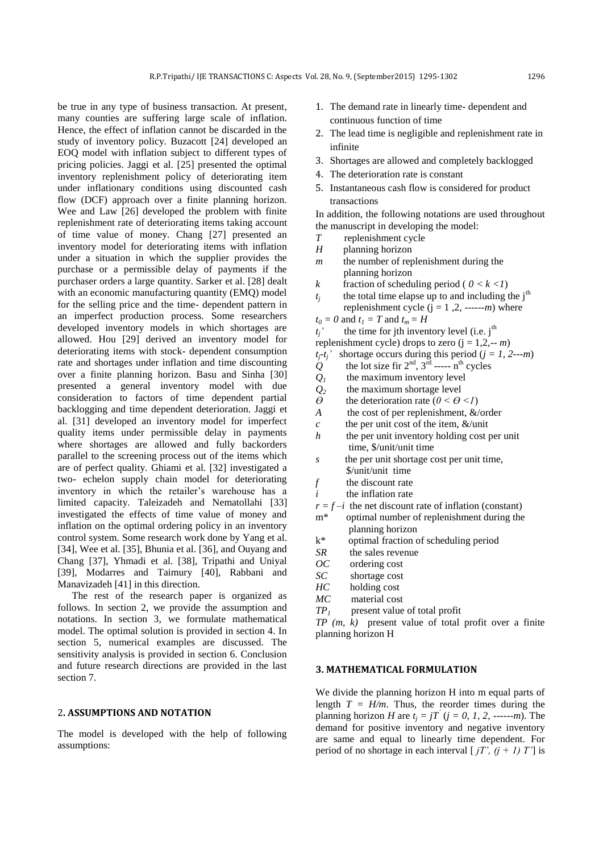be true in any type of business transaction. At present, many counties are suffering large scale of inflation. Hence, the effect of inflation cannot be discarded in the study of inventory policy. Buzacott [\[24\]](#page-5-23) developed an EOQ model with inflation subject to different types of pricing policies. Jaggi et al. [\[25\]](#page-5-24) presented the optimal inventory replenishment policy of deteriorating item under inflationary conditions using discounted cash flow (DCF) approach over a finite planning horizon. Wee and Law [\[26\]](#page-5-25) developed the problem with finite replenishment rate of deteriorating items taking account of time value of money. Chang [\[27\]](#page-5-26) presented an inventory model for deteriorating items with inflation under a situation in which the supplier provides the purchase or a permissible delay of payments if the purchaser orders a large quantity. Sarker et al. [\[28\]](#page-6-0) dealt with an economic manufacturing quantity (EMO) model for the selling price and the time- dependent pattern in an imperfect production process. Some researchers developed inventory models in which shortages are allowed. Hou [\[29\]](#page-6-1) derived an inventory model for deteriorating items with stock- dependent consumption rate and shortages under inflation and time discounting over a finite planning horizon. Basu and Sinha [\[30\]](#page-6-2) presented a general inventory model with due consideration to factors of time dependent partial backlogging and time dependent deterioration. Jaggi et al. [\[31\]](#page-6-3) developed an inventory model for imperfect quality items under permissible delay in payments where shortages are allowed and fully backorders parallel to the screening process out of the items which are of perfect quality. Ghiami et al. [\[32\]](#page-6-4) investigated a two- echelon supply chain model for deteriorating inventory in which the retailer's warehouse has a limited capacity. Taleizadeh and Nematollahi [\[33\]](#page-6-5) investigated the effects of time value of money and inflation on the optimal ordering policy in an inventory control system. Some research work done by Yang et al. [\[34\]](#page-6-6), Wee et al. [\[35\]](#page-6-7), Bhunia et al. [\[36\]](#page-6-8), and Ouyang and Chang [\[37\]](#page-6-9), Yhmadi et al. [\[38\]](#page-6-10), Tripathi and Uniyal [\[39\]](#page-6-11), Modarres and Taimury [\[40\]](#page-6-12), Rabbani and Manavizadeh [\[41\]](#page-6-13) in this direction.

The rest of the research paper is organized as follows. In section 2, we provide the assumption and notations. In section 3, we formulate mathematical model. The optimal solution is provided in section 4. In section 5, numerical examples are discussed. The sensitivity analysis is provided in section 6. Conclusion and future research directions are provided in the last section 7.

### 2**. ASSUMPTIONS AND NOTATION**

The model is developed with the help of following assumptions:

- 1. The demand rate in linearly time- dependent and continuous function of time
- 2. The lead time is negligible and replenishment rate in infinite
- 3. Shortages are allowed and completely backlogged
- 4. The deterioration rate is constant
- 5. Instantaneous cash flow is considered for product transactions

In addition, the following notations are used throughout the manuscript in developing the model:

- *T* replenishment cycle
- *H* planning horizon
- *m* the number of replenishment during the planning horizon
- *k* fraction of scheduling period (  $0 < k < 1$ )
- *tj* the total time elapse up to and including the  $j<sup>th</sup>$ replenishment cycle  $(j = 1, 2, \dots, m)$  where
- $t_0 = 0$  and  $t_1 = T$  and  $t_m = H$
- $t_i$ <sup>'</sup> the time for jth inventory level (i.e. j<sup>th</sup>)

replenishment cycle) drops to zero  $(j = 1, 2, -m)$ 

- $t_i$ <sup>*-t<sub>i</sub>*<sup> $\prime$ </sup> shortage occurs during this period (*j* = *1*, 2--*m*)</sup>
- $Q^{\prime}$  the lot size fir  $2^{\text{nd}}$ ,  $3^{\text{rd}}$  ----- n<sup>th</sup> cycles
- $Q_1$  the maximum inventory level
- *Q2* the maximum shortage level
- $\theta$  the deterioration rate ( $0 \le \theta \le l$ )
- *A* the cost of per replenishment, &/order
- *c* the per unit cost of the item, &/unit
- *h* the per unit inventory holding cost per unit time, \$/unit/unit time
- *s* the per unit shortage cost per unit time, \$/unit/unit time
- *f* the discount rate
- *i* the inflation rate
- $r = f i$  the net discount rate of inflation (constant)
- m\* optimal number of replenishment during the planning horizon
- k\* optimal fraction of scheduling period
- *SR* the sales revenue
- *OC* ordering cost
- *SC* shortage cost
- *HC* holding cost
- *MC* material cost
- *TP1* present value of total profit

*TP (m, k)* present value of total profit over a finite planning horizon H

### **3. MATHEMATICAL FORMULATION**

We divide the planning horizon H into m equal parts of length  $T = H/m$ . Thus, the reorder times during the planning horizon *H* are  $t_j = jT^{\prime}$  ( $j = 0, 1, 2, \ldots \ldots \ldots$ ). The demand for positive inventory and negative inventory are same and equal to linearly time dependent. For period of no shortage in each interval  $\lceil iT', (i + 1) T' \rceil$  is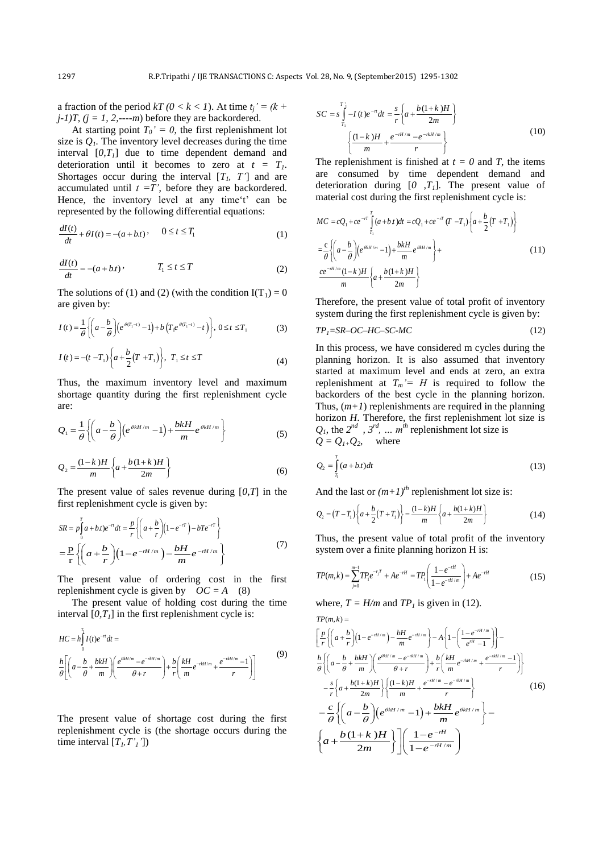a fraction of the period  $kT (0 < k < 1)$ . At time  $t_i' = (k + 1)$  $j$ -1)T,  $(j = 1, 2, \dots = m)$  before they are backordered.

At starting point  $T_0' = 0$ , the first replenishment lot size is  $Q<sub>1</sub>$ . The inventory level decreases during the time interval  $[0, T<sub>1</sub>]$  due to time dependent demand and deterioration until it becomes to zero at  $t = T<sub>1</sub>$ . Shortages occur during the interval  $[T_1, T']$  and are accumulated until  $t = T'$ , before they are backordered. Hence, the inventory level at any time't' can be represented by the following differential equations:

$$
\frac{dI(t)}{dt} + \theta I(t) = -(a + b)t, \qquad 0 \le t \le T_1
$$
 (1)

$$
\frac{dI(t)}{dt} = -(a+bt)\,,\qquad T_1 \le t \le T\tag{2}
$$

The solutions of (1) and (2) (with the condition  $I(T_1) = 0$ are given by:

are given by:  
\n
$$
I(t) = \frac{1}{\theta} \left\{ \left( a - \frac{b}{\theta} \right) \left( e^{\theta(T_1 - t)} - 1 \right) + b \left( T_1 e^{\theta(T_1 - t)} - t \right) \right\}, 0 \le t \le T_1
$$
\n(3)

$$
I(t) = -(t - T_1) \left\{ a + \frac{b}{2} (T + T_1) \right\}, \ T_1 \le t \le T
$$
 (4)

Thus, the maximum inventory level and maximum shortage quantity during the first replenishment cycle are:

are:  
\n
$$
Q_1 = \frac{1}{\theta} \left\{ \left( a - \frac{b}{\theta} \right) \left( e^{\theta k H / m} - 1 \right) + \frac{b k H}{m} e^{\theta k H / m} \right\}
$$
\n(5)

$$
Q_2 = \frac{(1-k)H}{m} \left\{ a + \frac{b(1+k)H}{2m} \right\}
$$
 (6)

The present value of sales revenue during [*0,T*] in the

first replacement cycle is given by:  
\n
$$
SR = p \int_{0}^{T} a + bt)e^{-rt} dt = \frac{p}{r} \left\{ \left( a + \frac{b}{r} \right) \left( 1 - e^{-rT} \right) - bTe^{-rT} \right\}
$$
\n
$$
= \frac{p}{r} \left\{ \left( a + \frac{b}{r} \right) \left( 1 - e^{-rH/m} \right) - \frac{bH}{m} e^{-rH/m} \right\}
$$
\n(7)

The present value of ordering cost in the first replenishment cycle is given by  $OC = A$  (8)

The present value of holding cost during the time

interval 
$$
[0, T_I]
$$
 in the first replacement cycle is:  
\n
$$
HC = h \int_{0}^{T_1} I(t) e^{-rt} dt =
$$
\n
$$
\frac{h}{\theta} \left[ \left( a - \frac{b}{\theta} + \frac{bkH}{m} \right) \left( \frac{e^{\theta kH/m} - e^{-rkH/m}}{\theta + r} \right) + \frac{b}{r} \left( \frac{kH}{m} e^{-rkH/m} + \frac{e^{-rkH/m} - 1}{r} \right) \right]
$$
\n(9)

The present value of shortage cost during the first replenishment cycle is (the shortage occurs during the time interval  $[T_l, T'_l]$ 

$$
SC = s \int_{T_1}^{T_1} -I(t)e^{-rt}dt = \frac{s}{r} \left\{ a + \frac{b(1+k)H}{2m} \right\}
$$

$$
\left\{ \frac{(1-k)H}{m} + \frac{e^{-rtt/m} - e^{-rkt/m}}{r} \right\}
$$
(10)

The replenishment is finished at  $t = 0$  and *T*, the items are consumed by time dependent demand and deterioration during [*0 ,T1*]. The present value of

material cost during the first replacement cycle is:  
\n
$$
MC = cQ_1 + ce^{-rT} \int_{T_1}^{T} (a+bt)dt = cQ_1 + ce^{-rT} (T - T_1) \left\{ a + \frac{b}{2} (T + T_1) \right\}
$$
\n
$$
= \frac{c}{\theta} \left\{ \left( a - \frac{b}{\theta} \right) \left( e^{\theta kH/m} - 1 \right) + \frac{bkH}{m} e^{\theta kH/m} \right\} +
$$
\n
$$
\frac{ce^{-rH/m} (1-k)H}{m} \left\{ a + \frac{b(1+k)H}{2m} \right\}
$$
\n(11)

Therefore, the present value of total profit of inventory system during the first replenishment cycle is given by:

$$
TP_1 = SR - OC - HC - SC - MC \tag{12}
$$

In this process, we have considered m cycles during the planning horizon. It is also assumed that inventory started at maximum level and ends at zero, an extra replenishment at  $T_m' = H$  is required to follow the backorders of the best cycle in the planning horizon. Thus,  $(m+1)$  replenishments are required in the planning horizon *H*. Therefore, the first replenishment lot size is  $Q_1$ , the  $2^{nd}$ ,  $3^{rd}$ , ...  $m^{th}$  replenishment lot size is  $Q = Q_{1+}Q_2$ , where

$$
Q_2 = \int_{\tau_1}^{\tau} (a+bt)dt
$$
\n(13)

And the last or 
$$
(m+1)^{th}
$$
 replacement lot size is:  
\n
$$
Q_2 = (T - T_1) \left\{ a + \frac{b}{2} (T + T_1) \right\} = \frac{(1-k)H}{m} \left\{ a + \frac{b(1+k)H}{2m} \right\}
$$
\n(14)

Thus, the present value of total profit of the inventory

system over a finite planning horizon H is:  
\n
$$
TP(m,k) = \sum_{j=0}^{m-1} TP_i e^{-r_j T} + Ae^{-rH} = TP_i \left( \frac{1 - e^{-rH}}{1 - e^{-rH/m}} \right) + Ae^{-rH}
$$
\n(15)

where, 
$$
T = H/m
$$
 and  $TP_I$  is given in (12).  
\n
$$
TP(m, k) =
$$
\n
$$
\left[ \frac{p}{r} \left\{ \left( a + \frac{b}{r} \right) \left( 1 - e^{-rt/m} \right) - \frac{bH}{m} e^{-rt/m} \right\} - A \left\{ 1 - \left( \frac{1 - e^{-rt/m}}{e^{rt} - 1} \right) \right\} - A \left\{ \left( a - \frac{b}{\theta} + \frac{bkH}{m} \right) \left( \frac{e^{\theta kH/m} - e^{-rkt/m}}{\theta + r} \right) + \frac{b}{r} \left( \frac{kH}{m} e^{-rkt/m} + \frac{e^{-rkt/m} - 1}{r} \right) \right\}
$$
\n
$$
- \frac{s}{r} \left\{ a + \frac{b(1+k)H}{2m} \right\} \left\{ \frac{(1-k)H}{m} + \frac{e^{-rt/m} - e^{-rkt/m}}{r} \right\} - A \left\{ \left( a - \frac{b}{\theta} \right) \left( e^{\theta kH/m} - 1 \right) + \frac{bkH}{m} e^{\theta kH/m} \right\} - A \left\{ a + \frac{b(1+k)H}{2m} \right\} \left\{ \frac{1 - e^{-rH}}{1 - e^{-rH/m}} \right\}
$$
\n(16)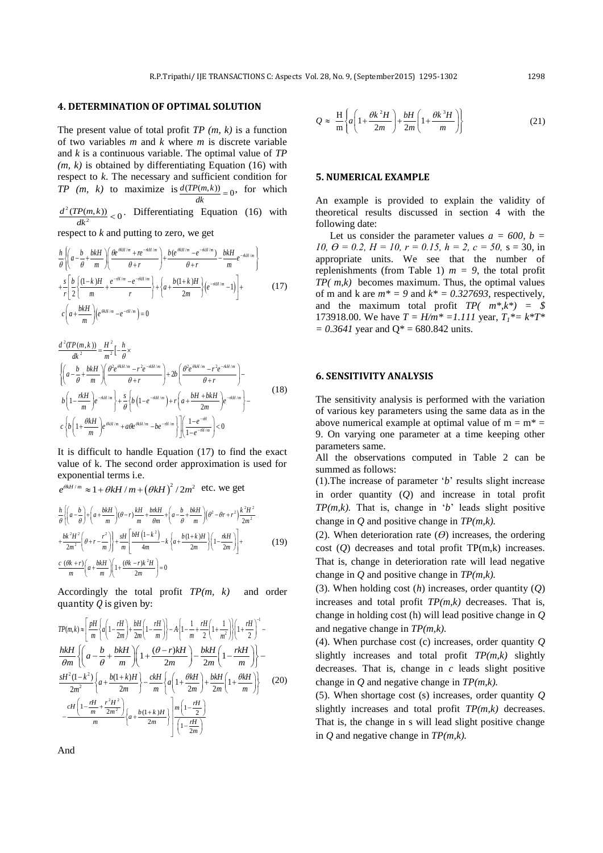# **4. DETERMINATION OF OPTIMAL SOLUTION**

The present value of total profit *TP (m, k)* is a function of two variables *m* and *k* where *m* is discrete variable and *k* is a continuous variable. The optimal value of *TP (m, k)* is obtained by differentiating Equation (16) with respect to *k*. The necessary and sufficient condition for *TP*  $(m, k)$  to maximize is  $\frac{d(TP(m, k))}{dt} = 0$ , for which *dk*

2  $\frac{d^2(TP(m,k))}{dt^2}$  < 0  $\frac{P(m,k)}{dk^2}$  < 0. Differentiating Equation (16) with

respect to *k* and putting to zero, we get  
\n
$$
\frac{h}{\theta} \left\{ \left( a - \frac{b}{\theta} + \frac{bkH}{m} \right) \left( \frac{\theta e^{\theta kH/m} + re^{-\pi kH/m}}{\theta + r} \right) + \frac{b(e^{\theta kH/m} - e^{-\pi kH/m})}{\theta + r} - \frac{bkH}{m} e^{-\pi kH/m} \right\}
$$
\n
$$
+ \frac{s}{r} \left[ \frac{b}{2} \left( \frac{(1-k)H}{m} + \frac{e^{-\pi t/m} - e^{-\pi kH/m}}{r} \right) + \left\{ a + \frac{b(1+k)H}{2m} \right\} \left( e^{-\pi kH/m} - 1 \right) \right] + \left[ \left( a + \frac{bkH}{m} \right) \left( e^{\theta kH/m} - e^{-\pi H/m} \right) = 0 \tag{17}
$$

$$
\frac{d^{2}(TP(m,k))}{dk^{2}} = \frac{H^{2}}{m^{2}}\left[-\frac{h}{\theta} \times \left\{\left(a - \frac{b}{\theta} + \frac{bkH}{m}\right)\left(\frac{\theta^{2}e^{\theta kH/m} - r^{2}e^{-\kappa H/m}}{\theta + r}\right) + 2b\left(\frac{\theta^{2}e^{\theta kH/m} - r^{2}e^{-\kappa H/m}}{\theta + r}\right) - b\left(1 - \frac{\kappa H}{m}\right)e^{-\kappa kH/m}\right\} + \frac{s}{\theta}\left\{b\left(1 - e^{-\kappa H/m} + a(e^{\theta kH/m} - be^{-\kappa H/m})\right)\left(a + \frac{bH + bkH}{2m}\right)e^{-\kappa H/m}\right\} - c\left\{b\left(1 + \frac{\theta kH}{m}\right)e^{\theta kH/m} + a\theta e^{\theta kH/m} - be^{-\kappa H/m}\right\}\right]\left(\frac{1 - e^{-\kappa H/m}}{1 - e^{-\kappa H/m}}\right) < 0
$$
\n(18)

It is difficult to handle Equation (17) to find the exact value of k. The second order approximation is used for exponential terms i.e. exponential terms i.e.<br> $e^{\theta kH/m} \approx 1 + \theta kH/m + (\theta kH)^2 / 2m^2$  etc. we get

$$
e^{\theta kH/m} \approx 1 + \theta kH / m + (\theta kH)^2 / 2m^2 \text{ etc. we get}
$$
  

$$
\frac{h}{\theta} \left\{ \left( a - \frac{b}{\theta} \right) + \left( a + \frac{bkH}{m} \right) (\theta - r) \frac{kH}{m} + \frac{b\kappa H}{\theta m} + \left( a - \frac{b}{\theta} + \frac{bkH}{m} \right) (\theta^2 - \theta r + r^2) \frac{k^2 H^2}{2m^2} + \frac{bk^2 H^2}{2m^2} \left( \theta + r - \frac{r^2}{m} \right) \right\} + \frac{sH}{m} \left[ \frac{bH \left( 1 - k^2 \right)}{4m} - k \left\{ a + \frac{b(1 + k)H}{2m} \right\} \left( 1 - \frac{\kappa H}{2m} \right) \right] + \frac{c \left( \theta k + r \right)}{m} \left( a + \frac{bkH}{m} \right) \left[ 1 + \frac{(\theta k - r)k^2 H}{2m} \right] = 0
$$
 (19)

Accordingly the total profit *TP(m, k)* and order

quantity Q is given by:  
\n
$$
TP(m, k) \approx \left[\frac{pH}{m}\left\{a\left(1-\frac{rH}{2m}\right)+\frac{bH}{2m}\left(1-\frac{rH}{m}\right)\right\}-A\left\{1-\frac{1}{m}+\frac{rH}{2}\left(1+\frac{1}{m^2}\right)\right\}\left(1+\frac{rH}{2}\right)^{-1}-\frac{hkH}{2m}\left\{\left(a-\frac{b}{\theta}+\frac{bkH}{m}\right)\left(1+\frac{(\theta-r)kH}{2m}\right)-\frac{bkH}{2m}\left(1-\frac{rkH}{m}\right)\right\}-\frac{sH^2(1-k^2)}{2m^2}\left\{a+\frac{b(1+k)H}{2m}\right\}-\frac{ckH}{m}\left\{a\left(1+\frac{\theta kH}{2m}\right)+\frac{bkH}{2m}\left(1+\frac{\theta kH}{m}\right)\right\}\right\}
$$
\n(20)\n
$$
-\frac{cH\left(1-\frac{rH}{m}+\frac{r^2H^2}{2m^2}\right)}{m}\left\{a+\frac{b(1+k)H}{2m}\right\}\frac{m\left(1-\frac{rH}{2}\right)}{\left(1-\frac{rH}{2m}\right)}
$$

$$
Q \approx \frac{H}{m} \left\{ a \left( 1 + \frac{\theta k^2 H}{2m} \right) + \frac{bH}{2m} \left( 1 + \frac{\theta k^3 H}{m} \right) \right\}
$$
(21)

### **5. NUMERICAL EXAMPLE**

An example is provided to explain the validity of theoretical results discussed in section 4 with the following date:

Let us consider the parameter values  $a = 600$ ,  $b =$ *10,*  $\theta = 0.2$ *,*  $H = 10$ *,*  $r = 0.15$ *,*  $h = 2$ *,*  $c = 50$ *, s = 30, in* appropriate units. We see that the number of replenishments (from Table 1)  $m = 9$ , the total profit *TP( m,k)* becomes maximum. Thus, the optimal values of m and k are  $m^* = 9$  and  $k^* = 0.327693$ , respectively, and the maximum total profit *TP( m\*,k\*) = \$*  173918.00. We have  $T = H/m^* = 1.111$  year,  $T_1^* = k^*T^*$  $= 0.3641$  year and Q<sup>\*</sup> = 680.842 units.

### **6. SENSITIVITY ANALYSIS**

The sensitivity analysis is performed with the variation of various key parameters using the same data as in the above numerical example at optimal value of  $m = m^* =$ 9. On varying one parameter at a time keeping other parameters same.

All the observations computed in Table 2 can be summed as follows:

(1).The increase of parameter '*b*' results slight increase in order quantity (*Q*) and increase in total profit *TP(m,k).* That is, change in '*b*' leads slight positive change in *Q* and positive change in *TP(m,k).*

(2). When deterioration rate  $(\theta)$  increases, the ordering cost (*Q*) decreases and total profit TP(m,k) increases. That is, change in deterioration rate will lead negative change in *Q* and positive change in *TP(m,k).*

(3). When holding cost (*h*) increases, order quantity (*Q*) increases and total profit *TP(m,k)* decreases. That is, change in holding cost (h) will lead positive change in *Q*  and negative change in *TP(m,k).*

(4). When purchase cost (c) increases, order quantity *Q* slightly increases and total profit *TP(m,k)* slightly decreases. That is, change in *c* leads slight positive change in *Q* and negative change in *TP(m,k).*

(5). When shortage cost (s) increases, order quantity *Q* slightly increases and total profit *TP(m,k)* decreases. That is, the change in s will lead slight positive change in *Q* and negative change in *TP(m,k).*

And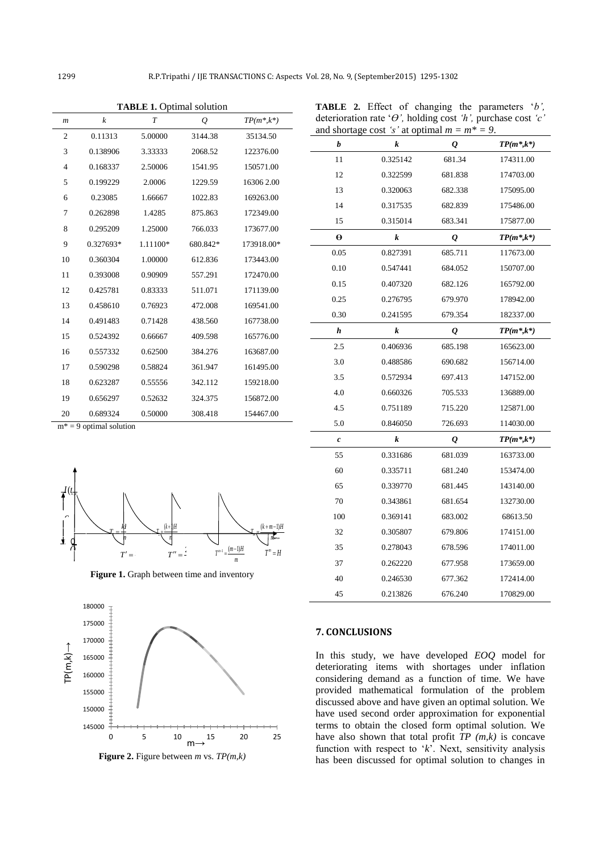$m^* = 9$  optimal solution

*Q*

4k

*I*(*t* $\downarrow$ 

*Q*2

180000

 $\mathcal{C}$ 

土

| $\boldsymbol{m}$ | k         | $\overline{T}$ | Q        | $TP(m^*,k^*)$ |
|------------------|-----------|----------------|----------|---------------|
| 2                | 0.11313   | 5.00000        | 3144.38  | 35134.50      |
| 3                | 0.138906  | 3.33333        | 2068.52  | 122376.00     |
| 4                | 0.168337  | 2.50006        | 1541.95  | 150571.00     |
| 5                | 0.199229  | 2.0006         | 1229.59  | 16306 2.00    |
| 6                | 0.23085   | 1.66667        | 1022.83  | 169263.00     |
| 7                | 0.262898  | 1.4285         | 875.863  | 172349.00     |
| 8                | 0.295209  | 1.25000        | 766.033  | 173677.00     |
| 9                | 0.327693* | 1.11100*       | 680.842* | 173918.00*    |
| 10               | 0.360304  | 1.00000        | 612.836  | 173443.00     |
| 11               | 0.393008  | 0.90909        | 557.291  | 172470.00     |
| 12               | 0.425781  | 0.83333        | 511.071  | 171139.00     |
| 13               | 0.458610  | 0.76923        | 472.008  | 169541.00     |
| 14               | 0.491483  | 0.71428        | 438.560  | 167738.00     |
| 15               | 0.524392  | 0.66667        | 409.598  | 165776.00     |
| 16               | 0.557332  | 0.62500        | 384.276  | 163687.00     |
| 17               | 0.590298  | 0.58824        | 361.947  | 161495.00     |
| 18               | 0.623287  | 0.55556        | 342.112  | 159218.00     |
| 19               | 0.656297  | 0.52632        | 324.375  | 156872.00     |
| 20               | 0.689324  | 0.50000        | 308.418  | 154467.00     |

**TABLE 1.** Optimal solution

**TABLE 2.** Effect of changing the parameters '*b',*  deterioration rate '*Ө',* holding cost *'h',* purchase cost *'c'*  and shortage cost *'s'* at optimal  $m = m^* = 9$ .

| b                | k        | Q                      | $TP(m^*,k^*)$   |
|------------------|----------|------------------------|-----------------|
| 11               | 0.325142 | 681.34                 | 174311.00       |
| 12               | 0.322599 | 681.838                | 174703.00       |
| 13               | 0.320063 | 682.338                | 175095.00       |
| 14               | 0.317535 | 682.839                | 175486.00       |
| 15               | 0.315014 | 683.341                | 175877.00       |
| θ                | k        | Q                      | $TP(m^*, k^*)$  |
| 0.05             | 0.827391 | 685.711                | 117673.00       |
| 0.10             | 0.547441 | 684.052                | 150707.00       |
| 0.15             | 0.407320 | 682.126                | 165792.00       |
| 0.25             | 0.276795 | 679.970                | 178942.00       |
| 0.30             | 0.241595 | 679.354                | 182337.00       |
| h                | k        | Q                      | $TP(m^*,k^*)$   |
| 2.5              | 0.406936 | 685.198                | 165623.00       |
| 3.0              | 0.488586 | 690.682                | 156714.00       |
| 3.5              | 0.572934 | 697.413                | 147152.00       |
| 4.0              | 0.660326 | 705.533                | 136889.00       |
| 4.5              | 0.751189 | 715.220                | 125871.00       |
| 5.0              | 0.846050 | 726.693                | 114030.00       |
| $\boldsymbol{c}$ | k        | $\boldsymbol{\varrho}$ | $TP(m^* , k^*)$ |
| 55               | 0.331686 | 681.039                | 163733.00       |
| 60               | 0.335711 | 681.240                | 153474.00       |
| 65               | 0.339770 | 681.445                | 143140.00       |
| 70               | 0.343861 | 681.654                | 132730.00       |
| 100              | 0.369141 | 683.002                | 68613.50        |
| 32               | 0.305807 | 679.806                | 174151.00       |
| 35               | 0.278043 | 678.596                | 174011.00       |
| 37               | 0.262220 | 677.958                | 173659.00       |
| 40               | 0.246530 | 677.362                | 172414.00       |
| 45               | 0.213826 | 676.240                | 170829.00       |

2*H T*  $=$ 

**Figure 1.** Graph between time and inventory

2 ( 1) *k H T m* +1)≀ ≔

 $T' = \frac{1}{2}$ 

1  $T = \frac{kl}{l}$ *m* = -



**Figure 2.** Figure between *m* vs. *TP(m,k)*

# **7. CONCLUSIONS**

Times and the contract of the contract of the contract of the contract of the contract of the contract of the contract of the contract of the contract of the contract of the contract of the contract of the contract of the  $T^m = H$ 

 $T = \frac{(k+m-1)H}{I}$ *m m* ≡≐

 $T^{m-1} = \frac{(m-1)H}{T}$ *m* =-

> In this study, we have developed *EOQ* model for deteriorating items with shortages under inflation considering demand as a function of time. We have provided mathematical formulation of the problem discussed above and have given an optimal solution. We have used second order approximation for exponential terms to obtain the closed form optimal solution. We have also shown that total profit  $TP(m,k)$  is concave function with respect to '*k*'. Next, sensitivity analysis has been discussed for optimal solution to changes in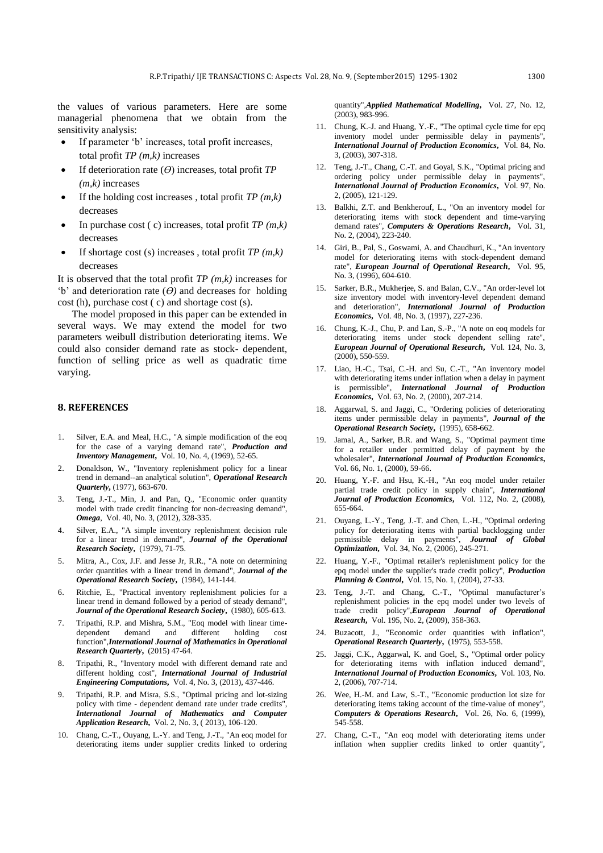the values of various parameters. Here are some managerial phenomena that we obtain from the sensitivity analysis:

- If parameter 'b' increases, total profit increases, total profit *TP (m,k)* increases
- If deterioration rate (*Ө*) increases, total profit *TP (m,k)* increases
- If the holding cost increases , total profit *TP (m,k)*  decreases
- In purchase cost ( c) increases, total profit *TP (m,k)* decreases
- If shortage cost (s) increases , total profit *TP (m,k)*  decreases

It is observed that the total profit *TP (m,k)* increases for 'b' and deterioration rate (*Ө)* and decreases for holding cost (h), purchase cost ( c) and shortage cost (s).

The model proposed in this paper can be extended in several ways. We may extend the model for two parameters weibull distribution deteriorating items. We could also consider demand rate as stock- dependent, function of selling price as well as quadratic time varying.

### **8. REFERENCES**

- <span id="page-5-0"></span>1. Silver, E.A. and Meal, H.C., "A simple modification of the eoq for the case of a varying demand rate", *Production and Inventory Management***,** Vol. 10, No. 4, (1969), 52-65.
- <span id="page-5-1"></span>2. Donaldson, W., "Inventory replenishment policy for a linear trend in demand--an analytical solution", *Operational Research Quarterly***,** (1977), 663-670.
- <span id="page-5-2"></span>3. Teng, J.-T., Min, J. and Pan, Q., "Economic order quantity model with trade credit financing for non-decreasing demand", *Omega*, Vol. 40, No. 3, (2012), 328-335.
- <span id="page-5-3"></span>4. Silver, E.A., "A simple inventory replenishment decision rule for a linear trend in demand", *Journal of the Operational Research Society***,** (1979), 71-75.
- <span id="page-5-4"></span>5. Mitra, A., Cox, J.F. and Jesse Jr, R.R., "A note on determining order quantities with a linear trend in demand", *Journal of the Operational Research Society***,** (1984), 141-144.
- <span id="page-5-5"></span>6. Ritchie, E., "Practical inventory replenishment policies for a linear trend in demand followed by a period of steady demand", *Journal of the Operational Research Society***,** (1980), 605-613.
- <span id="page-5-6"></span>7. Tripathi, R.P. and Mishra, S.M., "Eoq model with linear timedependent demand and different holding cost function",*International Journal of Mathematics in Operational Research Quarterly***,** (2015) 47-64.
- <span id="page-5-7"></span>8. Tripathi, R., "Inventory model with different demand rate and different holding cost", *International Journal of Industrial Engineering Computations***,** Vol. 4, No. 3, (2013), 437-446.
- <span id="page-5-8"></span>9. Tripathi, R.P. and Misra, S.S., "Optimal pricing and lot-sizing policy with time - dependent demand rate under trade credits", *International Journal of Mathematics and Computer Application Research***,** Vol. 2, No. 3, ( 2013), 106-120.
- <span id="page-5-9"></span>10. Chang, C.-T., Ouyang, L.-Y. and Teng, J.-T., "An eoq model for deteriorating items under supplier credits linked to ordering

quantity",*Applied Mathematical Modelling***,** Vol. 27, No. 12, (2003), 983-996.

- <span id="page-5-10"></span>11. Chung, K.-J. and Huang, Y.-F., "The optimal cycle time for epq inventory model under permissible delay in payments", *International Journal of Production Economics***,** Vol. 84, No. 3, (2003), 307-318.
- <span id="page-5-11"></span>12. Teng, J.-T., Chang, C.-T. and Goyal, S.K., "Optimal pricing and ordering policy under permissible delay in payments", *International Journal of Production Economics***,** Vol. 97, No. 2, (2005), 121-129.
- <span id="page-5-12"></span>13. Balkhi, Z.T. and Benkherouf, L., "On an inventory model for deteriorating items with stock dependent and time-varying demand rates", *Computers & Operations Research***,** Vol. 31, No. 2, (2004), 223-240.
- <span id="page-5-13"></span>14. Giri, B., Pal, S., Goswami, A. and Chaudhuri, K., "An inventory model for deteriorating items with stock-dependent demand rate", *European Journal of Operational Research***,** Vol. 95, No. 3, (1996), 604-610.
- <span id="page-5-14"></span>15. Sarker, B.R., Mukherjee, S. and Balan, C.V., "An order-level lot size inventory model with inventory-level dependent demand and deterioration", *International Journal of Production Economics***,** Vol. 48, No. 3, (1997), 227-236.
- <span id="page-5-15"></span>16. Chung, K.-J., Chu, P. and Lan, S.-P., "A note on eoq models for deteriorating items under stock dependent selling rate", *European Journal of Operational Research***,** Vol. 124, No. 3, (2000), 550-559.
- <span id="page-5-16"></span>17. Liao, H.-C., Tsai, C.-H. and Su, C.-T., "An inventory model with deteriorating items under inflation when a delay in payment is permissible", *International Journal of Production Economics***,** Vol. 63, No. 2, (2000), 207-214.
- <span id="page-5-17"></span>18. Aggarwal, S. and Jaggi, C., "Ordering policies of deteriorating items under permissible delay in payments", *Journal of the Operational Research Society***,** (1995), 658-662.
- <span id="page-5-18"></span>19. Jamal, A., Sarker, B.R. and Wang, S., "Optimal payment time for a retailer under permitted delay of payment by the wholesaler", *International Journal of Production Economics***,** Vol. 66, No. 1, (2000), 59-66.
- <span id="page-5-19"></span>20. Huang, Y.-F. and Hsu, K.-H., "An eoq model under retailer partial trade credit policy in supply chain", *International Journal of Production Economics***,** Vol. 112, No. 2, (2008), 655-664.
- <span id="page-5-20"></span>21. Ouyang, L.-Y., Teng, J.-T. and Chen, L.-H., "Optimal ordering policy for deteriorating items with partial backlogging under permissible delay in payments", *Journal of Global Optimization***,** Vol. 34, No. 2, (2006), 245-271.
- <span id="page-5-21"></span>22. Huang, Y.-F., "Optimal retailer's replenishment policy for the epq model under the supplier's trade credit policy", *Production Planning & Control***,** Vol. 15, No. 1, (2004), 27-33.
- <span id="page-5-22"></span>23. Teng, J.-T. and Chang, C.-T., "Optimal manufacturer's replenishment policies in the epq model under two levels of trade credit policy",*European Journal of Operational Research***,** Vol. 195, No. 2, (2009), 358-363.
- <span id="page-5-23"></span>24. Buzacott, J., "Economic order quantities with inflation", *Operational Research Quarterly***,** (1975), 553-558.
- <span id="page-5-24"></span>25. Jaggi, C.K., Aggarwal, K. and Goel, S., "Optimal order policy for deteriorating items with inflation induced demand", *International Journal of Production Economics***,** Vol. 103, No. 2, (2006), 707-714.
- <span id="page-5-25"></span>26. Wee, H.-M. and Law, S.-T., "Economic production lot size for deteriorating items taking account of the time-value of money", *Computers & Operations Research***,** Vol. 26, No. 6, (1999), 545-558.
- <span id="page-5-26"></span>27. Chang, C.-T., "An eoq model with deteriorating items under inflation when supplier credits linked to order quantity",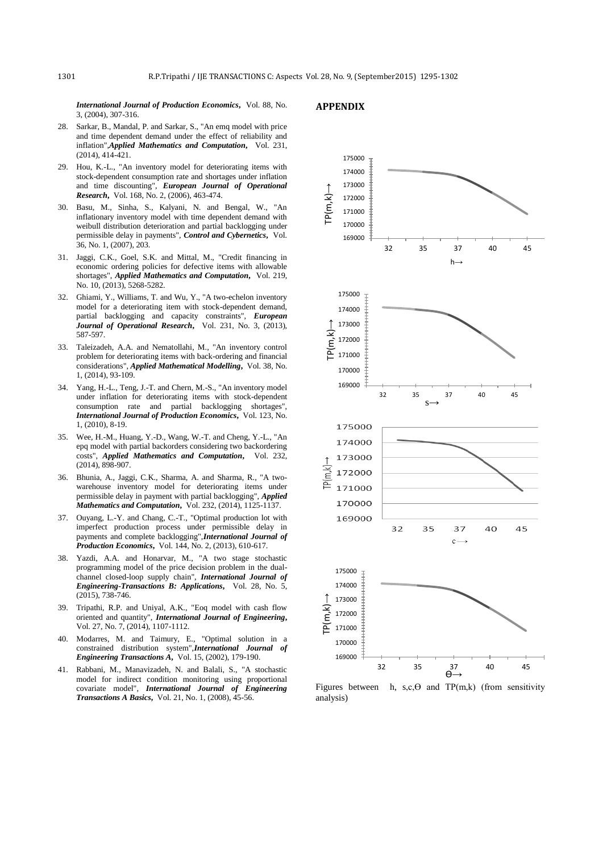*International Journal of Production Economics***,** Vol. 88, No. 3, (2004), 307-316.

### **APPENDIX**

- <span id="page-6-0"></span>28. Sarkar, B., Mandal, P. and Sarkar, S., "An emq model with price and time dependent demand under the effect of reliability and inflation",*Applied Mathematics and Computation***,** Vol. 231, (2014), 414-421.
- <span id="page-6-1"></span>29. Hou, K.-L., "An inventory model for deteriorating items with stock-dependent consumption rate and shortages under inflation and time discounting", *European Journal of Operational Research***,** Vol. 168, No. 2, (2006), 463-474.
- <span id="page-6-2"></span>30. Basu, M., Sinha, S., Kalyani, N. and Bengal, W., "An inflationary inventory model with time dependent demand with weibull distribution deterioration and partial backlogging under permissible delay in payments", *Control and Cybernetics***,** Vol. 36, No. 1, (2007), 203.
- <span id="page-6-3"></span>31. Jaggi, C.K., Goel, S.K. and Mittal, M., "Credit financing in economic ordering policies for defective items with allowable shortages", *Applied Mathematics and Computation***,** Vol. 219, No. 10, (2013), 5268-5282.
- <span id="page-6-4"></span>32. Ghiami, Y., Williams, T. and Wu, Y., "A two-echelon inventory model for a deteriorating item with stock-dependent demand, partial backlogging and capacity constraints", *European Journal of Operational Research***,** Vol. 231, No. 3, (2013), 587-597.
- <span id="page-6-5"></span>33. Taleizadeh, A.A. and Nematollahi, M., "An inventory control problem for deteriorating items with back-ordering and financial considerations", *Applied Mathematical Modelling***,** Vol. 38, No. 1, (2014), 93-109.
- <span id="page-6-6"></span>34. Yang, H.-L., Teng, J.-T. and Chern, M.-S., "An inventory model under inflation for deteriorating items with stock-dependent consumption rate and partial backlogging shortages", *International Journal of Production Economics***,** Vol. 123, No. 1, (2010), 8-19.
- <span id="page-6-7"></span>35. Wee, H.-M., Huang, Y.-D., Wang, W.-T. and Cheng, Y.-L., "An epq model with partial backorders considering two backordering costs", *Applied Mathematics and Computation***,** Vol. 232, (2014), 898-907.
- <span id="page-6-8"></span>36. Bhunia, A., Jaggi, C.K., Sharma, A. and Sharma, R., "A twowarehouse inventory model for deteriorating items under permissible delay in payment with partial backlogging", *Applied Mathematics and Computation***,** Vol. 232, (2014), 1125-1137.
- <span id="page-6-9"></span>37. Ouyang, L.-Y. and Chang, C.-T., "Optimal production lot with imperfect production process under permissible delay in payments and complete backlogging",*International Journal of Production Economics***,** Vol. 144, No. 2, (2013), 610-617.
- <span id="page-6-10"></span>38. Yazdi, A.A. and Honarvar, M., "A two stage stochastic programming model of the price decision problem in the dualchannel closed-loop supply chain", *International Journal of Engineering-Transactions B: Applications***,** Vol. 28, No. 5, (2015), 738-746.
- <span id="page-6-11"></span>39. Tripathi, R.P. and Uniyal, A.K., "Eoq model with cash flow oriented and quantity", *International Journal of Engineering***,**  Vol. 27, No. 7, (2014), 1107-1112.
- <span id="page-6-12"></span>40. Modarres, M. and Taimury, E., "Optimal solution in a constrained distribution system",*International Journal of Engineering Transactions A***,** Vol. 15, (2002), 179-190.
- <span id="page-6-13"></span>41. Rabbani, M., Manavizadeh, N. and Balali, S., "A stochastic model for indirect condition monitoring using proportional covariate model", *International Journal of Engineering Transactions A Basics***,** Vol. 21, No. 1, (2008), 45-56.



Figures between h,  $s,c,\Theta$  and TP(m,k) (from sensitivity analysis)